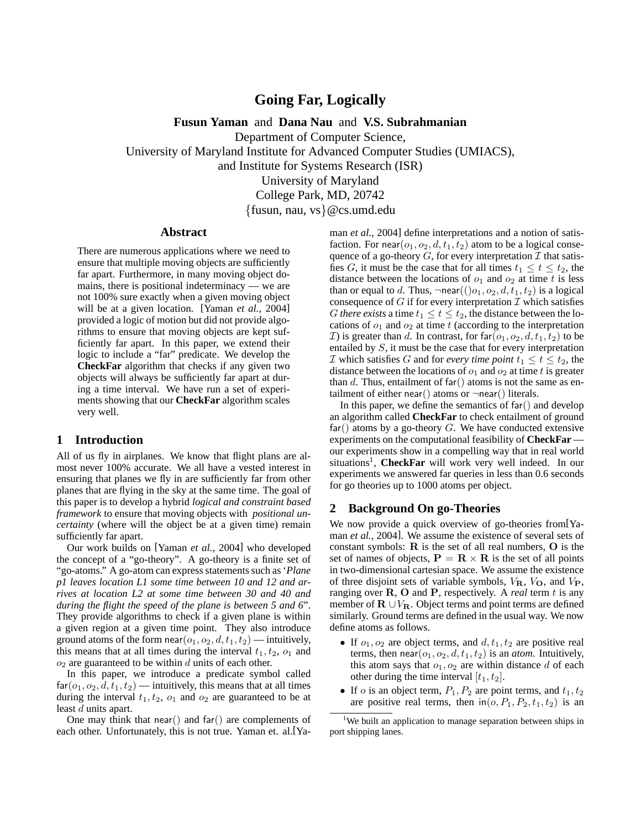# **Going Far, Logically**

**Fusun Yaman** and **Dana Nau** and **V.S. Subrahmanian**

Department of Computer Science,

University of Maryland Institute for Advanced Computer Studies (UMIACS),

and Institute for Systems Research (ISR)

University of Maryland

College Park, MD, 20742

{fusun, nau, vs}@cs.umd.edu

### **Abstract**

There are numerous applications where we need to ensure that multiple moving objects are sufficiently far apart. Furthermore, in many moving object domains, there is positional indeterminacy — we are not 100% sure exactly when a given moving object will be at a given location. [Yaman *et al.*, 2004] provided a logic of motion but did not provide algorithms to ensure that moving objects are kept sufficiently far apart. In this paper, we extend their logic to include a "far" predicate. We develop the **CheckFar** algorithm that checks if any given two objects will always be sufficiently far apart at during a time interval. We have run a set of experiments showing that our **CheckFar** algorithm scales very well.

# **1 Introduction**

All of us fly in airplanes. We know that flight plans are almost never 100% accurate. We all have a vested interest in ensuring that planes we fly in are sufficiently far from other planes that are flying in the sky at the same time. The goal of this paper is to develop a hybrid *logical and constraint based framework* to ensure that moving objects with *positional uncertainty* (where will the object be at a given time) remain sufficiently far apart.

Our work builds on [Yaman *et al.*, 2004] who developed the concept of a "go-theory". A go-theory is a finite set of "go-atoms." A go-atom can express statements such as '*Plane p1 leaves location L1 some time between 10 and 12 and arrives at location L2 at some time between 30 and 40 and during the flight the speed of the plane is between 5 and 6*". They provide algorithms to check if a given plane is within a given region at a given time point. They also introduce ground atoms of the form near( $o_1, o_2, d, t_1, t_2$ ) — intuitively, this means that at all times during the interval  $t_1, t_2, o_1$  and  $o_2$  are guaranteed to be within d units of each other.

In this paper, we introduce a predicate symbol called  $\text{far}(o_1, o_2, d, t_1, t_2)$  — intuitively, this means that at all times during the interval  $t_1, t_2, o_1$  and  $o_2$  are guaranteed to be at least d units apart.

One may think that near() and far() are complements of each other. Unfortunately, this is not true. Yaman et. al.[Yaman *et al.*, 2004] define interpretations and a notion of satisfaction. For near $(o_1, o_2, d, t_1, t_2)$  atom to be a logical consequence of a go-theory  $G$ , for every interpretation  $\mathcal I$  that satisfies G, it must be the case that for all times  $t_1 \le t \le t_2$ , the distance between the locations of  $o_1$  and  $o_2$  at time t is less than or equal to d. Thus,  $\neg$ near $((o_1, o_2, d, t_1, t_2)$  is a logical consequence of  $G$  if for every interpretation  $\mathcal I$  which satisfies *G* there exists a time  $t_1 \le t \le t_2$ , the distance between the locations of  $o_1$  and  $o_2$  at time t (according to the interpretation *I*) is greater than d. In contrast, for far $(o_1, o_2, d, t_1, t_2)$  to be entailed by S, it must be the case that for every interpretation *I* which satisfies G and for *every time point*  $t_1 \le t \le t_2$ , the distance between the locations of  $o_1$  and  $o_2$  at time t is greater than d. Thus, entailment of far() atoms is not the same as entailment of either near() atoms or  $\neg$ near() literals.

In this paper, we define the semantics of  $far()$  and develop an algorithm called **CheckFar** to check entailment of ground  $far()$  atoms by a go-theory G. We have conducted extensive experiments on the computational feasibility of **CheckFar** our experiments show in a compelling way that in real world situations<sup>1</sup>, **CheckFar** will work very well indeed. In our experiments we answered far queries in less than 0.6 seconds for go theories up to 1000 atoms per object.

## **2 Background On go-Theories**

We now provide a quick overview of go-theories from[Yaman *et al.*, 2004]. We assume the existence of several sets of constant symbols:  $R$  is the set of all real numbers,  $O$  is the set of names of objects,  $P = R \times R$  is the set of all points in two-dimensional cartesian space. We assume the existence of three disjoint sets of variable symbols,  $V_{\mathbf{R}}$ ,  $V_{\mathbf{O}}$ , and  $V_{\mathbf{P}}$ , ranging over  $R$ ,  $O$  and  $P$ , respectively. A *real* term  $t$  is any member of  $\mathbf{R} \cup V_{\mathbf{R}}$ . Object terms and point terms are defined similarly. Ground terms are defined in the usual way. We now define atoms as follows.

- If  $o_1, o_2$  are object terms, and  $d, t_1, t_2$  are positive real terms, then  $near(o_1, o_2, d, t_1, t_2)$  is an *atom*. Intuitively, this atom says that  $o_1, o_2$  are within distance d of each other during the time interval  $[t_1, t_2]$ .
- If *o* is an object term,  $P_1$ ,  $P_2$  are point terms, and  $t_1$ ,  $t_2$ are positive real terms, then  $\text{in}(o, P_1, P_2, t_1, t_2)$  is an

<sup>&</sup>lt;sup>1</sup>We built an application to manage separation between ships in port shipping lanes.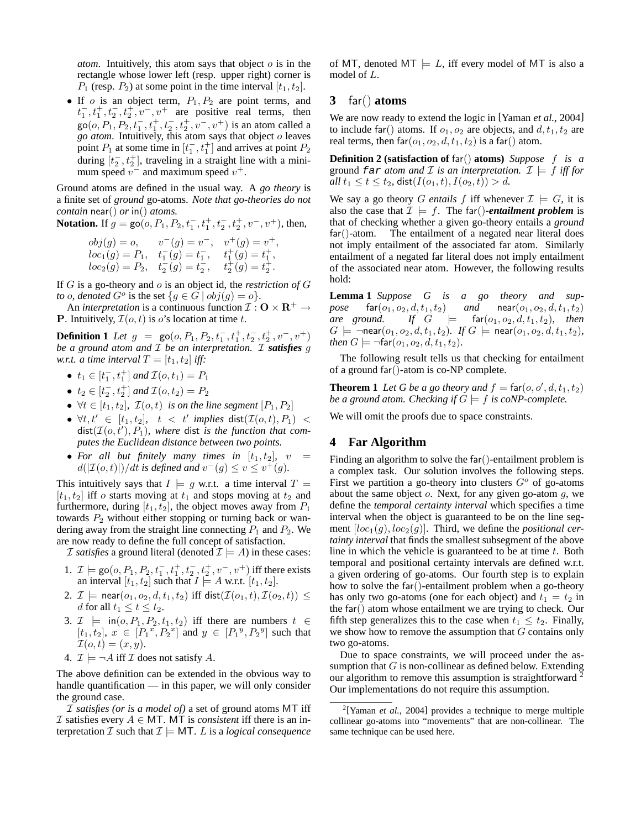*atom*. Intuitively, this atom says that object  $\sigma$  is in the rectangle whose lower left (resp. upper right) corner is  $P_1$  (resp.  $P_2$ ) at some point in the time interval  $[t_1, t_2]$ .

• If  $o$  is an object term,  $P_1, P_2$  are point terms, and  $t_1^-, t_1^+, t_2^-, t_2^+, v^-, v^+$  are positive real terms, then  $\text{go}(o, P_1, P_2, t_1^-, t_1^+, t_2^-, t_2^+, v^-, v^+)$  is an atom called a *go atom*. Intuitively, this atom says that object o leaves point  $P_1$  at some time in  $[t_1^-, t_1^+]$  and arrives at point  $P_2$ during  $[t_2^-, t_2^+]$ , traveling in a straight line with a minimum speed  $v^{-}$  and maximum speed  $v^{+}$ .

Ground atoms are defined in the usual way. A *go theory* is a finite set of *ground* go-atoms. *Note that go-theories do not contain* near() *or* in() *atoms.*

**Notation.** If 
$$
g = \text{go}(o, P_1, P_2, t_1^-, t_1^+, t_2^-, t_2^+, v^-, v^+)
$$
, then,

$$
\begin{array}{lll} obj(g)=o, & v^-(g)=v^-, & v^+(g)=v^+,\\ loc_1(g)=P_1, & t_1^-(g)=t_1^-, & t_1^+(g)=t_1^+,\\ loc_2(g)=P_2, & t_2^-(g)=t_2^-, & t_2^+(g)=t_2^+. \end{array}
$$

If G is a go-theory and o is an object id, the *restriction of* G *to o*, denoted  $G^o$  is the set  $\{g \in \tilde{G} \mid obj(g) = o\}.$ 

An *interpretation* is a continuous function  $\mathcal{I}: \mathbf{O} \times \mathbf{R}^+ \to$ **P**. Intuitively,  $\mathcal{I}(o, t)$  is o's location at time t.

**Definition 1** *Let*  $g = \text{go}(o, P_1, P_2, t_1^-, t_1^+, t_2^-, t_2^+, v^-, v^+)$ *be a ground atom and* I *be an interpretation.* I *satisfies* g *w.r.t. a time interval*  $T = [t_1, t_2]$  *iff:* 

- $t_1 \in [t_1^-, t_1^+]$  and  $\mathcal{I}(o, t_1) = P_1$
- $t_2 \in [t_2^-, t_2^+]$  and  $\mathcal{I}(o, t_2) = P_2$
- $\forall t \in [t_1, t_2], \mathcal{I}(o, t)$  *is on the line segment*  $[P_1, P_2]$
- $\bullet$   $\forall t, t' \in [t_1, t_2], \quad t < t'$  implies  $\textsf{dist}(\mathcal{I}(o, t), P_1)$  <  $dist(\mathcal{I}(o, t'), P_1)$ , where dist *is the function that computes the Euclidean distance between two points.*
- For all but finitely many times in  $[t_1, t_2]$ ,  $v =$  $d(|\mathcal{I}(o,t)|)/dt$  is defined and  $v^-(g) \le v \le v^+(g)$ .

This intuitively says that  $I \models g$  w.r.t. a time interval  $T =$  $[t_1, t_2]$  iff o starts moving at  $t_1$  and stops moving at  $t_2$  and furthermore, during  $[t_1, t_2]$ , the object moves away from  $P_1$ towards  $P_2$  without either stopping or turning back or wandering away from the straight line connecting  $P_1$  and  $P_2$ . We are now ready to define the full concept of satisfaction.

*I satisfies* a ground literal (denoted  $\mathcal{I} \models A$ ) in these cases:

- 1.  $\mathcal{I}$   $\models$  go(*o*,  $P_1$ ,  $P_2$ ,  $t_1^-, t_1^+, t_2^-, t_2^+, v^-, v^+)$  iff there exists an interval  $[t_1, t_2]$  such that  $I \models A$  w.r.t.  $[t_1, t_2]$ .
- 2.  $\mathcal{I} \models \text{near}(o_1, o_2, d, t_1, t_2)$  iff  $\text{dist}(\mathcal{I}(o_1, t), \mathcal{I}(o_2, t)) \leq$ d for all  $t_1 \leq t \leq t_2$ .
- 3.  $\mathcal{I}$   $\models$  in( $o, P_1, P_2, t_1, t_2$ ) iff there are numbers  $t \in$  $[t_1, t_2], x \in [P_1^x, P_2^x]$  and  $y \in [P_1^y, P_2^y]$  such that  $\mathcal{I}(o,t)=(x,y).$
- 4.  $\mathcal{I} \models \neg A$  iff  $\mathcal{I}$  does not satisfy A.

The above definition can be extended in the obvious way to handle quantification — in this paper, we will only consider the ground case.

I *satisfies (or is a model of)* a set of ground atoms MT iff I satisfies every  $A \in \mathsf{MT}$ . MT is *consistent* iff there is an interpretation  $\mathcal I$  such that  $\mathcal I \models \mathsf{MT}$ . L is a *logical consequence*  of MT, denoted MT  $\models$  L, iff every model of MT is also a model of L.

# **3** far() **atoms**

We are now ready to extend the logic in [Yaman *et al.*, 2004] to include far() atoms. If  $o_1, o_2$  are objects, and  $d, t_1, t_2$  are real terms, then  $far(o_1, o_2, d, t_1, t_2)$  is a far() atom.

**Definition 2 (satisfaction of** far() **atoms)** *Suppose* f *is a* ground far *atom and* I is an interpretation.  $\mathcal{I} \models f$  iff for *all*  $t_1 \le t \le t_2$ , dist $(I(o_1, t), I(o_2, t)) > d$ .

We say a go theory G *entails* f iff whenever  $\mathcal{I} \models G$ , it is also the case that  $\mathcal{I} \models f$ . The far()-entailment problem is that of checking whether a given go-theory entails a *ground* far()-atom. The entailment of a negated near literal does not imply entailment of the associated far atom. Similarly entailment of a negated far literal does not imply entailment of the associated near atom. However, the following results hold:

**Lemma 1** *Suppose G is a go theory and sup* $pose \text{far}(o_1, o_2, d, t_1, t_2)$  *and*  $near(o_1, o_2, d, t_1, t_2)$  $\begin{array}{lllll} \textit{area} & \textit{ground.} & \textit{If} & G & \models & \textsf{far}(o_1, o_2, d, t_1, t_2), & \textit{then} \end{array}$  $G \models \neg \text{near}(o_1, o_2, d, t_1, t_2)$ *.* If  $G \models \text{near}(o_1, o_2, d, t_1, t_2)$ *, then*  $G \models \neg \text{far}(o_1, o_2, d, t_1, t_2)$ *.* 

The following result tells us that checking for entailment of a ground far()-atom is co-NP complete.

**Theorem 1** Let G be a go theory and  $f = \text{far}(o, o', d, t_1, t_2)$ *be a ground atom. Checking if*  $G \models f$  *is coNP-complete.* 

We will omit the proofs due to space constraints.

# **4 Far Algorithm**

Finding an algorithm to solve the far()-entailment problem is a complex task. Our solution involves the following steps. First we partition a go-theory into clusters  $G^{\circ}$  of go-atoms about the same object  $o$ . Next, for any given go-atom  $q$ , we define the *temporal certainty interval* which specifies a time interval when the object is guaranteed to be on the line segment  $[loc_1(g), loc_2(g)]$ . Third, we define the *positional certainty interval* that finds the smallest subsegment of the above line in which the vehicle is guaranteed to be at time  $t$ . Both temporal and positional certainty intervals are defined w.r.t. a given ordering of go-atoms. Our fourth step is to explain how to solve the far()-entailment problem when a go-theory has only two go-atoms (one for each object) and  $t_1 = t_2$  in the far() atom whose entailment we are trying to check. Our fifth step generalizes this to the case when  $t_1 \leq t_2$ . Finally, we show how to remove the assumption that  $G$  contains only two go-atoms.

Due to space constraints, we will proceed under the assumption that  $G$  is non-collinear as defined below. Extending our algorithm to remove this assumption is straightforward<sup>2</sup> Our implementations do not require this assumption.

<sup>&</sup>lt;sup>2</sup>[Yaman *et al.*, 2004] provides a technique to merge multiple collinear go-atoms into "movements" that are non-collinear. The same technique can be used here.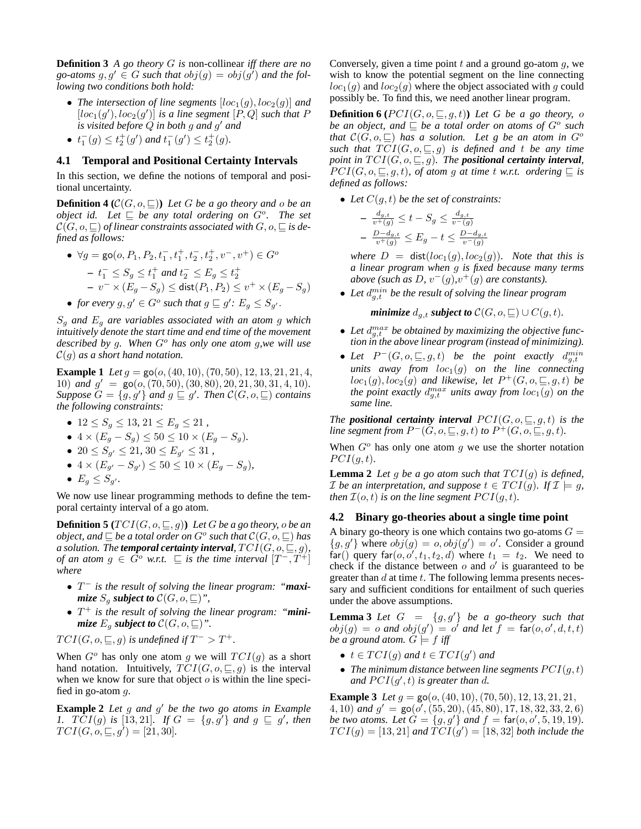**Definition 3** *A go theory* G *is* non-collinear *iff there are no* go-atoms  $g, g' \in G$  such that  $obj(g) = obj(g')$  and the fol*lowing two conditions both hold:*

- *The intersection of line segments*  $[loc_1(g), loc_2(g)]$  *and*  $[loc_1(g'),loc_2(g')]$  is a line segment  $[P,Q]$  such that P *is visited before* Q *in both* g *and* g <sup>0</sup> *and*
- $t_1^-(g) \le t_2^+(g')$  and  $t_1^-(g') \le t_2^+(g)$ .

### **4.1 Temporal and Positional Certainty Intervals**

In this section, we define the notions of temporal and positional uncertainty.

**Definition 4** ( $\mathcal{C}(G, o, \square)$ ) *Let* G *be a go theory and* o *be an object id.* Let  $\subseteq$  be any total ordering on  $G^o$ . The set  $\mathcal{C}(G, o, \square)$  *of linear constraints associated with*  $G, o, \square$  *is defined as follows:*

• 
$$
\forall g = \text{go}(o, P_1, P_2, t_1^-, t_1^+, t_2^-, t_2^+, v^-, v^+) \in G^o
$$
  
\n-  $t_1^- \leq S_g \leq t_1^+$  and  $t_2^- \leq E_g \leq t_2^+$   
\n-  $v^- \times (E_g - S_g) \leq \text{dist}(P_1, P_2) \leq v^+ \times (E_g - S_g)$ 

• *for every*  $g, g' \in G^o$  such that  $g \sqsubseteq g'$ :  $E_g \leq S_{g'}$ .

S<sup>g</sup> *and* E<sup>g</sup> *are variables associated with an atom* g *which intuitively denote the start time and end time of the movement described by* g*. When* G<sup>o</sup> *has only one atom* g*,we will use* C(g) *as a short hand notation.*

**Example 1** *Let*  $g = \text{go}(o, (40, 10), (70, 50), 12, 13, 21, 21, 4,$ 10) *and*  $g' = \text{go}(o, (70, 50), (30, 80), 20, 21, 30, 31, 4, 10)$ *. Suppose*  $G = \{g, g'\}$  *and*  $g \sqsubseteq g'$ *. Then*  $\mathcal{C}(G, o, \sqsubseteq)$  *contains the following constraints:*

- $12 \le S_g \le 13, 21 \le E_g \le 21$ ,
- $4 \times (E_g S_g) \le 50 \le 10 \times (E_g S_g)$ .
- $20 \le S_{g'} \le 21$ ,  $30 \le E_{g'} \le 31$ ,
- $4 \times (E_{g'} S_{g'}) \le 50 \le 10 \times (E_g S_g)$ ,
- $E_g \leq S_{g'}$ .

We now use linear programming methods to define the temporal certainty interval of a go atom.

**Definition 5**  $(TCI(G, o, \subseteq, g))$  *Let G be a go theory, o be an object, and*  $\sqsubseteq$  *be a total order on*  $G^o$  such that  $\mathcal{C}(G, o, \sqsubseteq)$  has *a solution. The temporal certainty interval,*  $TCI(G, o, \subseteq, g)$ *, of an atom*  $g \in \tilde{G}^o$  *w.r.t.*  $\sqsubseteq$  *is the time interval*  $[T^-, T^+]$ *where*

- T <sup>−</sup> *is the result of solving the linear program: "maximize*  $S_q$  *subject to*  $\mathcal{C}(G, o, \sqsubseteq)$ ",
- T <sup>+</sup> *is the result of solving the linear program: "minimize*  $E_q$  *subject to*  $\mathcal{C}(G, o, \sqsubseteq)$ ".

$$
TCI(G, o, \sqsubseteq, g)
$$
 is undefined if  $T^{-} > T^{+}$ .

When  $G^o$  has only one atom g we will  $TCI(g)$  as a short hand notation. Intuitively,  $TCI(G, o, \subseteq, g)$  is the interval when we know for sure that object  $o$  is within the line specified in go-atom  $g$ .

**Example 2** *Let* g and g' be the two go atoms in Example *1.*  $T\bar{C}I(g)$  is [13,21]. If  $G = \{g, g'\}$  and  $g \sqsubseteq g'$ , then  $TCI(G, \tilde{o}, \sqsubseteq, g') = [21, 30].$ 

Conversely, given a time point  $t$  and a ground go-atom  $q$ , we wish to know the potential segment on the line connecting  $loc_1(g)$  and  $loc_2(g)$  where the object associated with g could possibly be. To find this, we need another linear program.

**Definition 6** ( $PCI(G, o, \subseteq, g, t)$ ) *Let G be a go theory, o be an object, and*  $\subseteq$  *be a total order on atoms of*  $G^o$  *such that*  $\mathcal{C}(G, o, \underline{\square})$  *has a solution. Let g be an atom in*  $G^o$ *such that*  $TCI(G, o, \subseteq, g)$  *is defined and t be any time point in*  $TCI(G, o, \subseteq, g)$ *. The positional certainty interval,*  $PCI(G, o, \subseteq, g, t)$ *, of atom g at time t w.r.t. ordering*  $\subseteq$  *is defined as follows:*

• Let  $C(g, t)$  be the set of constraints:

$$
- \frac{d_{g,t}}{v^+(g)} \le t - S_g \le \frac{d_{g,t}}{v^-(g)}
$$
  

$$
- \frac{D - d_{g,t}}{v^+(g)} \le E_g - t \le \frac{D - d_{g,t}}{v^-(g)}
$$

*where*  $D = \text{dist}(loc_1(g), loc_2(g))$ *. Note that this is a linear program when* g *is fixed because many terms above (such as D, v*<sup> $-(g)$ </sup>, $v^{+}(g)$  *are constants).* 

• Let  $d_{g,t}^{min}$  be the result of solving the linear program

*minimize*  $d_{q,t}$  *subject to*  $C(G, o, \sqsubseteq) \cup C(g, t)$ *.* 

- Let  $d_{g,t}^{max}$  be obtained by maximizing the objective func*tion in the above linear program (instead of minimizing).*
- Let  $P^-(G, o, \sqsubseteq, g, t)$  be the point exactly  $d_{g,t}^{min}$ *units away from*  $loc_1(g)$  *on the line connecting*  $loc_1(g),loc_2(g)$  and likewise, let  $P^+(G,o,\sqsubseteq,g,t)$  be the point exactly  $d_{g,t}^{max}$  units away from  $loc_1(g)$  on the *same line.*

*The positional certainty interval*  $PCI(G, o, \subseteq, g, t)$  *is the line segment from*  $P^-(G, o, \sqsubseteq, g, t)$  *to*  $P^+(G, o, \sqsubseteq, g, t)$ *.* 

When  $G^{\circ}$  has only one atom q we use the shorter notation  $PCI(g,t).$ 

**Lemma 2** Let g be a go atom such that  $TCI(g)$  is defined, *I* be an interpretation, and suppose  $t \in TCI(q)$ . If  $\mathcal{I} \models q$ , *then*  $\mathcal{I}(o,t)$  *is on the line segment*  $PCI(q,t)$ *.* 

### **4.2 Binary go-theories about a single time point**

A binary go-theory is one which contains two go-atoms  $G =$  ${g, g' }$  where  $obj(g) = o, obj(g') = o'$ . Consider a ground  $\text{far}()$  query  $\text{far}(o, o', t_1, t_2, d)$  where  $t_1 = t_2$ . We need to check if the distance between  $o$  and  $o'$  is guaranteed to be greater than  $d$  at time  $t$ . The following lemma presents necessary and sufficient conditions for entailment of such queries under the above assumptions.

**Lemma 3** *Let*  $G = \{g, g'\}$  *be a go-theory such that*  $obj(g) = o$  and  $obj(g') = o'$  and let  $f = \text{far}(o, o', d, t, t)$ *be a ground atom.*  $G \models f$  *iff* 

- $t \in TCI(g)$  and  $t \in TCI(g')$  and
- The minimum distance between line segments  $PCI(q, t)$ and  $PCI(g', t)$  *is greater than d.*

**Example 3** *Let*  $g = \text{go}(o, (40, 10), (70, 50), 12, 13, 21, 21,$ 4, 10) *and*  $g' = \text{go}(o', (55, 20), (45, 80), 17, 18, 32, 33, 2, 6)$ *be two atoms. Let*  $G = \{g, g'\}$  *and*  $f = \text{far}(o, o', 5, 19, 19)$ *.*  $TCI(g) = [13, 21]$  and  $\widetilde{TCI}(g') = [18, 32]$  both include the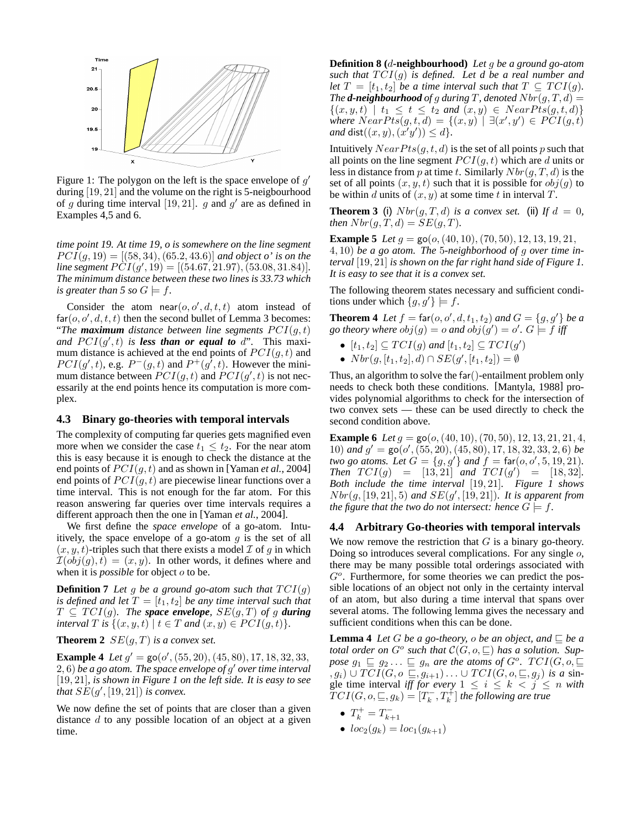

Figure 1: The polygon on the left is the space envelope of  $g'$ during [19, 21] and the volume on the right is 5-neigbourhood of g during time interval [19, 21]. g and  $g'$  are as defined in Examples 4,5 and 6.

*time point 19. At time 19, o is somewhere on the line segment*  $PCI(q, 19) = [(58, 34), (65.2, 43.6)]$  *and object o' is on the line segment*  $\angle PCI(g', 19) = [(54.67, 21.97), (53.08, 31.84)].$ *The minimum distance between these two lines is 33.73 which is greater than* 5 so  $G \models f$ .

Consider the atom near  $(o, o', d, t, t)$  atom instead of  $far(o, o', d, t, t)$  then the second bullet of Lemma 3 becomes: "The **maximum** distance between line segments  $PCI(g, t)$ and  $PCI(g', t)$  *is less than or equal to d*". This maximum distance is achieved at the end points of  $PCI(q, t)$  and  $PCI(g', t)$ , e.g.  $P^{-}(g, t)$  and  $P^{+}(g', t)$ . However the minimum distance between  $\overline{PCI(g,t)}$  and  $\overline{PCI(g',t)}$  is not necessarily at the end points hence its computation is more complex.

#### **4.3 Binary go-theories with temporal intervals**

The complexity of computing far queries gets magnified even more when we consider the case  $t_1 \leq t_2$ . For the near atom this is easy because it is enough to check the distance at the end points of  $PCI(q, t)$  and as shown in [Yaman *et al.*, 2004] end points of  $PCI(q, t)$  are piecewise linear functions over a time interval. This is not enough for the far atom. For this reason answering far queries over time intervals requires a different approach then the one in [Yaman *et al.*, 2004].

We first define the *space envelope* of a go-atom. Intuitively, the space envelope of a go-atom  $q$  is the set of all  $(x, y, t)$ -triples such that there exists a model  $\mathcal I$  of g in which  $\mathcal{I}(obj(g), t) = (x, y)$ . In other words, it defines where and when it is *possible* for object o to be.

**Definition 7** Let g be a ground go-atom such that  $TCI(g)$ *is defined and let*  $T = [t_1, t_2]$  *be any time interval such that*  $T \subseteq TCI(g)$ *. The space envelope,*  $SE(g, T)$  *of g during interval T is*  $\{(x, y, t) | t \in T \text{ and } (x, y) \in PCI(g, t)\}.$ 

**Theorem 2**  $SE(q, T)$  *is a convex set.* 

**Example 4** *Let*  $g' = \text{go}(o', (55, 20), (45, 80), 17, 18, 32, 33,$ 2, 6) *be a go atom. The space envelope of* g <sup>0</sup> *over time interval* [19, 21]*, is shown in Figure 1 on the left side. It is easy to see that*  $SE(g', [19, 21])$  *is convex.* 

We now define the set of points that are closer than a given distance  $d$  to any possible location of an object at a given time.

**Definition 8 (**d**-neighbourhood)** *Let* g *be a ground go-atom such that*  $TCI(g)$  *is defined. Let d be a real number and let*  $T = [t_1, t_2]$  *be a time interval such that*  $T \subseteq TCI(g)$ *. The d***-neighbourhood** of g during T, denoted  $Nbr(g, T, d) =$  $\{(x, y, t) | t_1 \le t \le t_2 \text{ and } (x, y) \in NearPts(g, t, d)\}\$ *where*  $NearPts(g, t, d) = \{(x, y) \mid \exists (x', y') \in PCI(g, t)\}$  $and$  dist $((x, y), (x'y')) \leq d$ .

Intuitively  $NearPts(g, t, d)$  is the set of all points p such that all points on the line segment  $PCI(g, t)$  which are d units or less in distance from p at time t. Similarly  $Nbr(g, T, d)$  is the set of all points  $(x, y, t)$  such that it is possible for  $obj(g)$  to be within d units of  $(x, y)$  at some time t in interval T.

**Theorem 3** (i)  $Nbr(g, T, d)$  *is a convex set.* (ii) If  $d = 0$ , *then*  $Nbr(g, T, d) = SE(g, T)$ .

**Example 5** *Let*  $g = \text{go}(o, (40, 10), (70, 50), 12, 13, 19, 21,$ 4, 10) *be a go atom. The* 5*-neighborhood of* g *over time interval* [19, 21] *is shown on the far right hand side of Figure 1. It is easy to see that it is a convex set.*

The following theorem states necessary and sufficient conditions under which  $\{g, g'\}\models f$ .

**Theorem 4** Let  $f = \text{far}(o, o', d, t_1, t_2)$  and  $G = \{g, g'\}$  be a go theory where  $obj(g) = o$  and  $obj(g') = o'$ .  $G \models f$  iff

- $[t_1, t_2] \subseteq TCI(g)$  and  $[t_1, t_2] \subseteq TCI(g')$
- $Nbr(g, [t_1, t_2], d) \cap SE(g', [t_1, t_2]) = \emptyset$

Thus, an algorithm to solve the far()-entailment problem only needs to check both these conditions. [Mantyla, 1988] provides polynomial algorithms to check for the intersection of two convex sets — these can be used directly to check the second condition above.

**Example 6** *Let*  $g = \text{go}(o, (40, 10), (70, 50), 12, 13, 21, 21, 4,$ 10) and  $g' = \text{go}(o', (55, 20), (45, 80), 17, 18, 32, 33, 2, 6)$  *be two go atoms. Let*  $G = \{g, g'\}$  *and*  $f = \text{far}(o, o', 5, 19, 21)$ *. Then*  $TCI(g) = [13, 21]$  *and*  $TCI(g') = [18, 32]$ *. Both include the time interval* [19, 21]*. Figure 1 shows*  $Nbr(g, [19, 21], 5)$  and  $SE(g', [19, 21])$ . It is apparent from *the figure that the two do not intersect: hence*  $G \models f$ .

#### **4.4 Arbitrary Go-theories with temporal intervals**

We now remove the restriction that  $G$  is a binary go-theory. Doing so introduces several complications. For any single  $o$ , there may be many possible total orderings associated with  $G<sup>o</sup>$ . Furthermore, for some theories we can predict the possible locations of an object not only in the certainty interval of an atom, but also during a time interval that spans over several atoms. The following lemma gives the necessary and sufficient conditions when this can be done.

**Lemma 4** *Let*  $G$  *be a go-theory, o be an object, and*  $\subseteq$  *be a total order on*  $G^o$  such that  $\mathcal{C}(G, o, \sqsubseteq)$  has a solution. Suppose  $g_1 \sqsubseteq g_2 \ldots \sqsubseteq g_n$  are the atoms of  $G^o$ .  $TCI(G, o, \sqsubseteq)$  $(g_i) \cup TCI(G, o \subseteq, g_{i+1}) \ldots \cup TCI(G, o, \subseteq, g_j)$  *is a* single time interval *iff for every*  $1 \leq i \leq k \leq j \leq n$  *with*  $TCI(G, o, \sqsubseteq, g_k) \stackrel{w}{=} [T_k^-, T_k^+]$  the following are true

- $T_k^+ = T_{k+1}^-$
- $loc_2(g_k) = loc_1(g_{k+1})$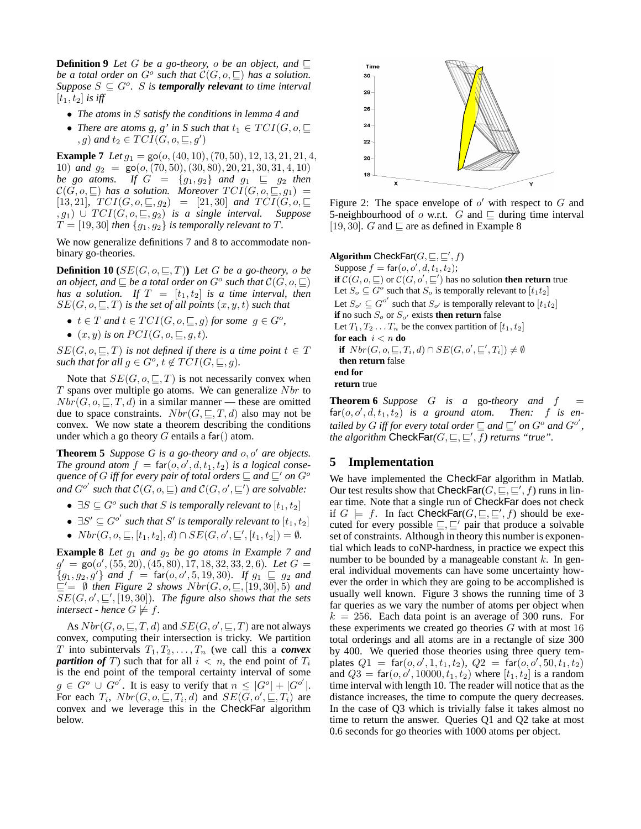**Definition 9** Let G be a go-theory, o be an object, and  $\Box$ *be a total order on*  $G^o$  such that  $\mathcal{C}(G, o, \sqsubseteq)$  has a solution.  $Suppose S \subseteq G^o$ . *S* is **temporally relevant** to time interval  $[t_1, t_2]$  *is iff* 

- *The atoms in* S *satisfy the conditions in lemma 4 and*
- *There are atoms g, g' in S such that*  $t_1 \in TCI(G, o, \square)$  $(g)$  and  $t_2 \in TCI(\tilde{G}, o, \sqsubseteq, g')$

**Example 7** *Let*  $g_1 = \text{go}(o, (40, 10), (70, 50), 12, 13, 21, 21, 4,$ 10) *and*  $g_2 = \text{go}(o, (70, 50), (30, 80), 20, 21, 30, 31, 4, 10)$ *be go atoms.* If  $G = \{g_1, g_2\}$  and  $g_1 \subseteq g_2$  then  $\mathcal{C}(G, o, \sqsubseteq)$  has a solution. Moreover  $TCI(G, o, \sqsubseteq, g_1) =$ [13, 21]*,*  $TCI(G, o, \subseteq, g_2) = [21, 30]$  *and*  $TCI(G, o, \subseteq, g_2) = [21, 30]$  $(a, g_1)$   $\cup$   $TCI(\dot{G}, o, \subseteq, g_2)$  *is a single interval. Suppose*  $T = [19, 30]$  *then*  $\{g_1, g_2\}$  *is temporally relevant to*  $T$ *.* 

We now generalize definitions 7 and 8 to accommodate nonbinary go-theories.

**Definition 10** ( $SE(G, o, \subseteq, T)$ ) *Let* G *be a go-theory, o be* an object, and  $\sqsubseteq$  be a total order on  $G^o$  such that  $\mathcal C(G, o, \sqsubseteq)$ *has a solution.* If  $T = [t_1, t_2]$  *is a time interval, then*  $SE(G, o, \subseteq, T)$  *is the set of all points*  $(x, y, t)$  *such that* 

- $t \in T$  and  $t \in TCI(G, o, \sqsubseteq, g)$  for some  $g \in G^o$ ,
- $(x, y)$  *is on PCI*(*G*, *o*,  $\sqsubset$ , *q*, *t*).

 $SE(G, o, \subseteq, T)$  *is not defined if there is a time point*  $t \in T$  $such that for all  $g \in G^o, t \notin \overline{TCI}(G, \sqsubseteq, g)$ .$ 

Note that  $SE(G, o, \subseteq, T)$  is not necessarily convex when  $T$  spans over multiple go atoms. We can generalize  $Nbr$  to  $Nbr(G, o, \subseteq, T, d)$  in a similar manner — these are omitted due to space constraints.  $Nbr(G, \subseteq, T, d)$  also may not be convex. We now state a theorem describing the conditions under which a go theory  $G$  entails a far() atom.

**Theorem 5** *Suppose G is a go-theory and*  $o, o'$  *are objects.* The ground atom  $f = \text{far}(o, o', d, t_1, t_2)$  *is a logical consequence of* G *iff for every pair of total orders*  $\subseteq$  *and*  $\subseteq'$  *on*  $G^o$ and  $G^{o'}$  such that  $\mathcal{C}(G, o, \sqsubseteq)$  and  $\mathcal{C}(G, o', \sqsubseteq')$  are solvable:

- $\exists S \subseteq G^o$  such that S is temporally relevant to  $[t_1, t_2]$
- $\exists S' \subseteq G^{o'}$  such that  $S'$  is temporally relevant to  $[t_1, t_2]$
- $Nbr(G, o, \subseteq, [t_1, t_2], d) \cap SE(G, o', \subseteq', [t_1, t_2]) = \emptyset.$

**Example 8** *Let*  $g_1$  *and*  $g_2$  *be go atoms in Example 7 and*  $g' = \overline{g}$ o(o', (55, 20), (45, 80), 17, 18, 32, 33, 2, 6). Let  $G =$  ${g_1, g_2, g'}$  and  $f = \text{far}(o, o', 5, 19, 30)$ *. If*  $g_1 \subseteq g_2$  and  $\mathcal{L} = \emptyset$  then Figure 2 shows  $Nbr(G, o, \mathcal{L}, [19, 30], 5)$  and  $SE(G, o', \sqsubseteq', [19, 30])$ . The figure also shows that the sets *intersect - hence*  $G \not\models f$ .

As  $Nbr(G, o, \sqsubseteq, T, d)$  and  $SE(G, o', \sqsubseteq, T)$  are not always convex, computing their intersection is tricky. We partition T into subintervals  $T_1, T_2, \ldots, T_n$  (we call this a *convex partition of* T) such that for all  $i < n$ , the end point of  $T_i$ is the end point of the temporal certainty interval of some  $g \in G^o \cup G^{o'}$ . It is easy to verify that  $n \leq |G^o| + |G^{o'}|$ . For each  $T_i$ ,  $Nbr(G, o, \subseteq, T_i, d)$  and  $SE(G, o', \subseteq, T_i)$  are convex and we leverage this in the CheckFar algorithm below.



Figure 2: The space envelope of  $o'$  with respect to  $G$  and 5-neighbourhood of  $o$  w.r.t. G and  $\sqsubseteq$  during time interval [19, 30]. G and  $\sqsubset$  are as defined in Example 8

**Algorithm** CheckFar $(G, \sqsubseteq, \sqsubseteq', f)$ Suppose  $f = \text{far}(o, o', d, t_1, t_2);$ **if**  $C(G, o, \sqsubseteq)$  or  $C(G, o', \sqsubseteq')$  has no solution **then return** true Let  $S_o \subseteq G^o$  such that  $S_o$  is temporally relevant to  $[t_1t_2]$ Let  $S_{o'} \subseteq G^{o'}$  such that  $S_{o'}$  is temporally relevant to  $[t_1t_2]$ **if** no such  $S_o$  or  $S_{o'}$  exists **then return** false Let  $T_1, T_2, \ldots, T_n$  be the convex partition of  $[t_1, t_2]$ **for each**  $i < n$  **do if**  $Nbr(G, o, \sqsubseteq, T_i, d) \cap SE(G, o', \sqsubseteq', T_i]) \neq \emptyset$ **then return** false **end for return** true

**Theorem 6** Suppose  $G$  is a go-theory and  $f$  $\textsf{far}(o, o', d, t_1, t_2)$  *is a ground atom. Then:* f *is en*tailed by  $G$  iff for every total order  $\sqsubseteq$  and  $\sqsubseteq'$  on  $G^o$  and  $G^{o'}$ , *the algorithm*  $\mathsf{CheckFar}(G, \sqsubseteq, \sqsubseteq', f)$  returns "true".

# **5 Implementation**

We have implemented the CheckFar algorithm in Matlab. Our test results show that CheckFar $(G, \subseteq, \subseteq', f)$  runs in linear time. Note that a single run of CheckFar does not check if  $G \models f$ . In fact CheckFar( $G, \sqsubseteq, \sqsubseteq', f$ ) should be executed for every possible  $\sqsubseteq, \sqsubseteq'$  pair that produce a solvable set of constraints. Although in theory this number is exponential which leads to coNP-hardness, in practice we expect this number to be bounded by a manageable constant  $k$ . In general individual movements can have some uncertainty however the order in which they are going to be accomplished is usually well known. Figure 3 shows the running time of 3 far queries as we vary the number of atoms per object when  $k = 256$ . Each data point is an average of 300 runs. For these experiments we created go theories  $G$  with at most 16 total orderings and all atoms are in a rectangle of size 300 by 400. We queried those theories using three query templates  $Q1 = \text{far}(o, o', 1, t_1, t_2), Q2 = \text{far}(o, o', 50, t_1, t_2)$ and  $Q3 = \text{far}(o, o', 10000, t_1, t_2)$  where  $[t_1, t_2]$  is a random time interval with length 10. The reader will notice that as the distance increases, the time to compute the query decreases. In the case of Q3 which is trivially false it takes almost no time to return the answer. Queries Q1 and Q2 take at most 0.6 seconds for go theories with 1000 atoms per object.